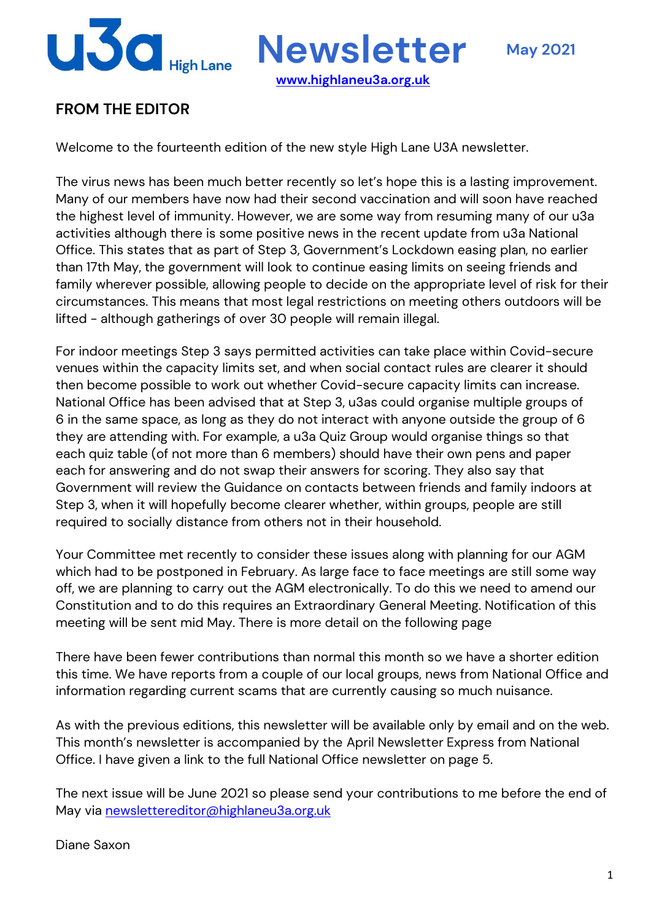

**Newsletter May <sup>2021</sup>**

### **FROM THE EDITOR**

Welcome to the fourteenth edition of the new style High Lane U3A newsletter.

The virus news has been much better recently so let's hope this is a lasting improvement. Many of our members have now had their second vaccination and will soon have reached the highest level of immunity. However, we are some way from resuming many of our u3a activities although there is some positive news in the recent update from u3a National Office. This states that as part of Step 3, Government's Lockdown easing plan, no earlier than 17th May, the government will look to continue easing limits on seeing friends and family wherever possible, allowing people to decide on the appropriate level of risk for their circumstances. This means that most legal restrictions on meeting others outdoors will be lifted - although gatherings of over 30 people will remain illegal.

**www.highlaneu3a.org.uk**

For indoor meetings Step 3 says permitted activities can take place within Covid-secure venues within the capacity limits set, and when social contact rules are clearer it should then become possible to work out whether Covid-secure capacity limits can increase. National Office has been advised that at Step 3, u3as could organise multiple groups of 6 in the same space, as long as they do not interact with anyone outside the group of 6 they are attending with. For example, a u3a Quiz Group would organise things so that each quiz table (of not more than 6 members) should have their own pens and paper each for answering and do not swap their answers for scoring. They also say that Government will review the Guidance on contacts between friends and family indoors at Step 3, when it will hopefully become clearer whether, within groups, people are still required to socially distance from others not in their household.

Your Committee met recently to consider these issues along with planning for our AGM which had to be postponed in February. As large face to face meetings are still some way off, we are planning to carry out the AGM electronically. To do this we need to amend our Constitution and to do this requires an Extraordinary General Meeting. Notification of this meeting will be sent mid May. There is more detail on the following page

There have been fewer contributions than normal this month so we have a shorter edition this time. We have reports from a couple of our local groups, news from National Office and information regarding current scams that are currently causing so much nuisance.

As with the previous editions, this newsletter will be available only by email and on the web. This month's newsletter is accompanied by the April Newsletter Express from National Office. I have given a link to the full National Office newsletter on page 5.

The next issue will be June 2021 so please send your contributions to me before the end of May via newslettereditor@highlaneu3a.org.uk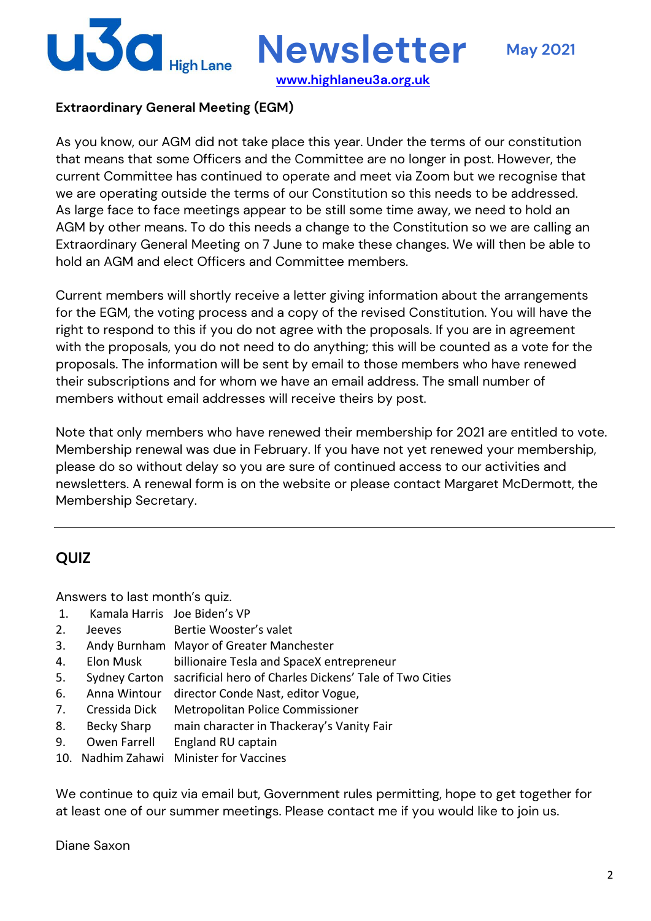

**Newsletter May <sup>2021</sup>**

**www.highlaneu3a.org.uk**

#### **Extraordinary General Meeting (EGM)**

As you know, our AGM did not take place this year. Under the terms of our constitution that means that some Officers and the Committee are no longer in post. However, the current Committee has continued to operate and meet via Zoom but we recognise that we are operating outside the terms of our Constitution so this needs to be addressed. As large face to face meetings appear to be still some time away, we need to hold an AGM by other means. To do this needs a change to the Constitution so we are calling an Extraordinary General Meeting on 7 June to make these changes. We will then be able to hold an AGM and elect Officers and Committee members.

Current members will shortly receive a letter giving information about the arrangements for the EGM, the voting process and a copy of the revised Constitution. You will have the right to respond to this if you do not agree with the proposals. If you are in agreement with the proposals, you do not need to do anything; this will be counted as a vote for the proposals. The information will be sent by email to those members who have renewed their subscriptions and for whom we have an email address. The small number of members without email addresses will receive theirs by post.

Note that only members who have renewed their membership for 2021 are entitled to vote. Membership renewal was due in February. If you have not yet renewed your membership, please do so without delay so you are sure of continued access to our activities and newsletters. A renewal form is on the website or please contact Margaret McDermott, the Membership Secretary.

#### **QUIZ**

Answers to last month's quiz.

- 1. Kamala Harris Joe Biden's VP
- 2. Jeeves Bertie Wooster's valet
- 3. Andy Burnham Mayor of Greater Manchester
- 4. Elon Musk billionaire Tesla and SpaceX entrepreneur
- 5. Sydney Carton sacrificial hero of Charles Dickens' Tale of Two Cities
- 6. Anna Wintour director Conde Nast, editor Vogue,
- 7. Cressida Dick Metropolitan Police Commissioner
- 8. Becky Sharp main character in Thackeray's Vanity Fair
- 9. Owen Farrell England RU captain
- 10. Nadhim Zahawi Minister for Vaccines

We continue to quiz via email but, Government rules permitting, hope to get together for at least one of our summer meetings. Please contact me if you would like to join us.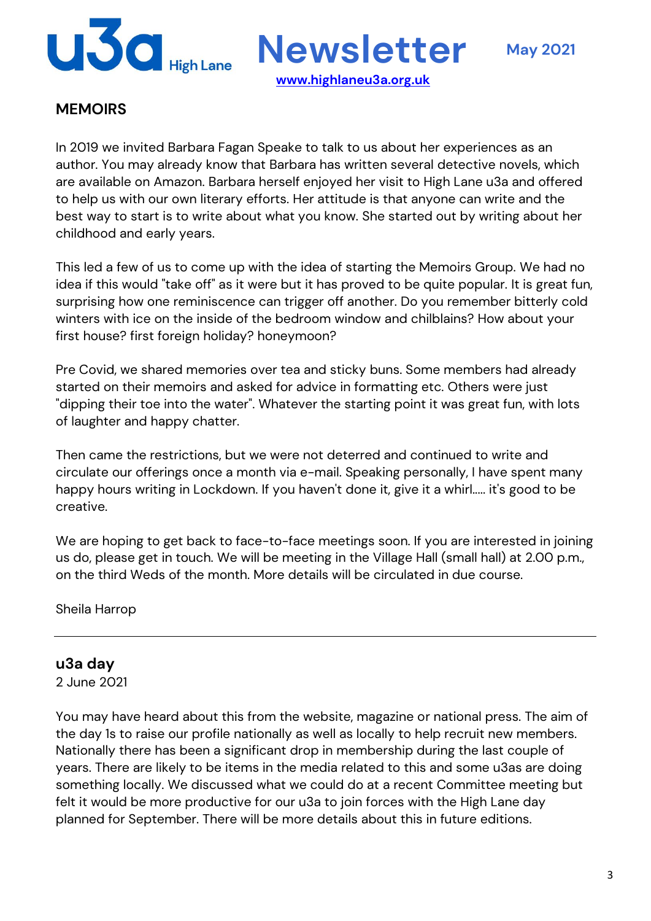

**www.highlaneu3a.org.uk**

#### **MEMOIRS**

In 2019 we invited Barbara Fagan Speake to talk to us about her experiences as an author. You may already know that Barbara has written several detective novels, which are available on Amazon. Barbara herself enjoyed her visit to High Lane u3a and offered to help us with our own literary efforts. Her attitude is that anyone can write and the best way to start is to write about what you know. She started out by writing about her childhood and early years.

This led a few of us to come up with the idea of starting the Memoirs Group. We had no idea if this would "take off" as it were but it has proved to be quite popular. It is great fun, surprising how one reminiscence can trigger off another. Do you remember bitterly cold winters with ice on the inside of the bedroom window and chilblains? How about your first house? first foreign holiday? honeymoon?

Pre Covid, we shared memories over tea and sticky buns. Some members had already started on their memoirs and asked for advice in formatting etc. Others were just "dipping their toe into the water". Whatever the starting point it was great fun, with lots of laughter and happy chatter.

Then came the restrictions, but we were not deterred and continued to write and circulate our offerings once a month via e-mail. Speaking personally, I have spent many happy hours writing in Lockdown. If you haven't done it, give it a whirl..... it's good to be creative.

We are hoping to get back to face-to-face meetings soon. If you are interested in joining us do, please get in touch. We will be meeting in the Village Hall (small hall) at 2.00 p.m., on the third Weds of the month. More details will be circulated in due course.

Sheila Harrop

#### **u3a day**

2 June 2021

You may have heard about this from the website, magazine or national press. The aim of the day 1s to raise our profile nationally as well as locally to help recruit new members. Nationally there has been a significant drop in membership during the last couple of years. There are likely to be items in the media related to this and some u3as are doing something locally. We discussed what we could do at a recent Committee meeting but felt it would be more productive for our u3a to join forces with the High Lane day planned for September. There will be more details about this in future editions.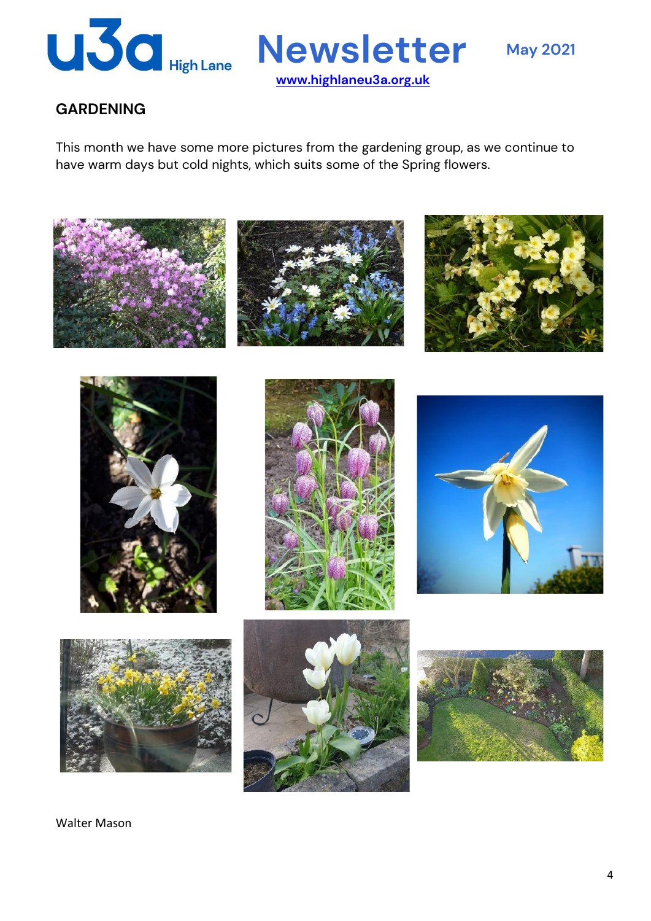

**www.highlaneu3a.org.uk**

#### **GARDENING**

This month we have some more pictures from the gardening group, as we continue to have warm days but cold nights, which suits some of the Spring flowers.



Walter Mason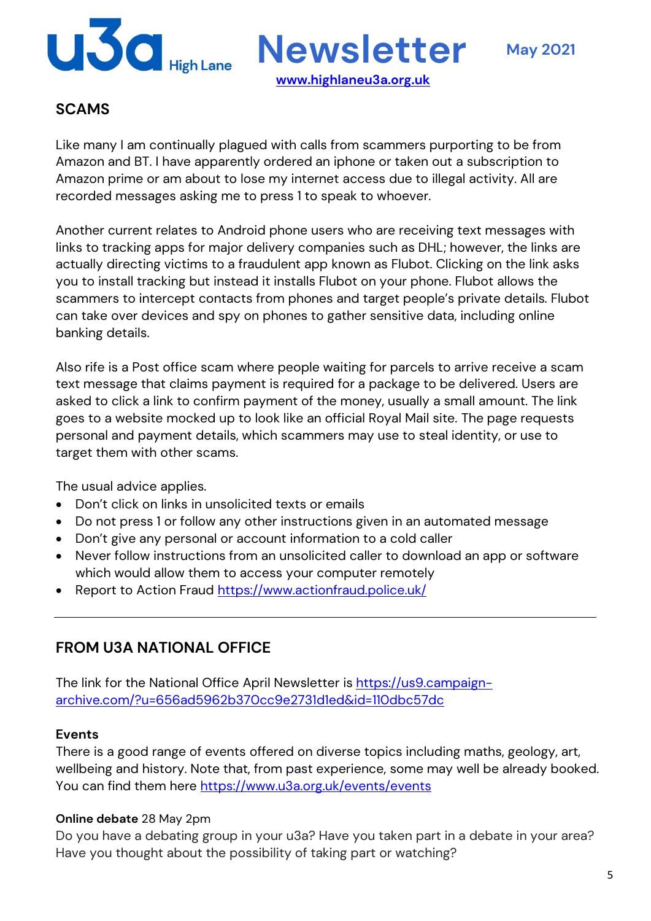

**www.highlaneu3a.org.uk**

#### **SCAMS**

Like many I am continually plagued with calls from scammers purporting to be from Amazon and BT. I have apparently ordered an iphone or taken out a subscription to Amazon prime or am about to lose my internet access due to illegal activity. All are recorded messages asking me to press 1 to speak to whoever.

Another current relates to Android phone users who are receiving text messages with links to tracking apps for major delivery companies such as DHL; however, the links are actually directing victims to a fraudulent app known as Flubot. Clicking on the link asks you to install tracking but instead it installs Flubot on your phone. Flubot allows the scammers to intercept contacts from phones and target people's private details. Flubot can take over devices and spy on phones to gather sensitive data, including online banking details.

Also rife is a Post office scam where people waiting for parcels to arrive receive a scam text message that claims payment is required for a package to be delivered. Users are asked to click a link to confirm payment of the money, usually a small amount. The link goes to a website mocked up to look like an official Royal Mail site. The page requests personal and payment details, which scammers may use to steal identity, or use to target them with other scams.

The usual advice applies.

- Don't click on links in unsolicited texts or emails
- Do not press 1 or follow any other instructions given in an automated message
- Don't give any personal or account information to a cold caller
- Never follow instructions from an unsolicited caller to download an app or software which would allow them to access your computer remotely
- Report to Action Fraud https://www.actionfraud.police.uk/

#### **FROM U3A NATIONAL OFFICE**

The link for the National Office April Newsletter is https://us9.campaignarchive.com/?u=656ad5962b370cc9e2731d1ed&id=110dbc57dc

#### **Events**

There is a good range of events offered on diverse topics including maths, geology, art, wellbeing and history. Note that, from past experience, some may well be already booked. You can find them here https://www.u3a.org.uk/events/events

#### **Online debate** 28 May 2pm

Do you have a debating group in your u3a? Have you taken part in a debate in your area? Have you thought about the possibility of taking part or watching?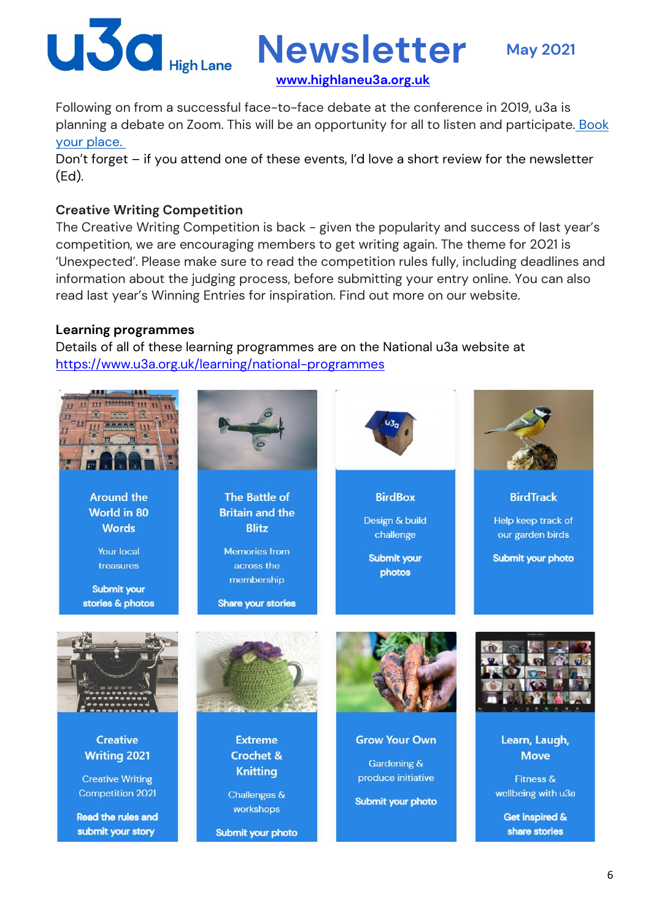

**Newsletter May <sup>2021</sup>**

**www.highlaneu3a.org.uk**

Following on from a successful face-to-face debate at the conference in 2019, u3a is planning a debate on Zoom. This will be an opportunity for all to listen and participate. Book your place.

Don't forget – if you attend one of these events, I'd love a short review for the newsletter (Ed).

#### **Creative Writing Competition**

The Creative Writing Competition is back - given the popularity and success of last year's competition, we are encouraging members to get writing again. The theme for 2021 is 'Unexpected'. Please make sure to read the competition rules fully, including deadlines and information about the judging process, before submitting your entry online. You can also read last year's Winning Entries for inspiration. Find out more on our website.

#### **Learning programmes**

Details of all of these learning programmes are on the National u3a website at https://www.u3a.org.uk/learning/national-programmes